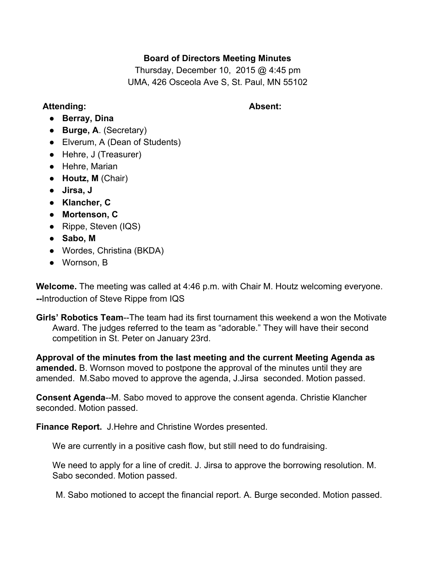# **Board of Directors Meeting Minutes**

Thursday, December 10, 2015 @ 4:45 pm UMA, 426 Osceola Ave S, St. Paul, MN 55102

## **Attending: Absent:**

- **Berray, Dina**
- **Burge, A**. (Secretary)
- Elverum, A (Dean of Students)
- Hehre, J (Treasurer)
- Hehre, Marian
- **Houtz, M**(Chair)
- **Jirsa, J**
- **● Klancher, C**
- **● Mortenson, C**
- Rippe, Steven (IQS)
- **Sabo, M**
- **●** Wordes, Christina (BKDA)
- Wornson, B

**Welcome.**The meeting was called at 4:46 p.m. with Chair M. Houtz welcoming everyone. --Introduction of Steve Rippe from IQS

**Girls' Robotics Team--The team had its first tournament this weekend a won the Motivate** Award. The judges referred to the team as "adorable." They will have their second competition in St. Peter on January 23rd.

**Approval of the minutes from the last meeting and the current Meeting Agenda as amended.** B. Wornson moved to postpone the approval of the minutes until they are amended. M.Sabo moved to approve the agenda, J.Jirsa seconded. Motion passed.

**Consent Agenda--M.** Sabo moved to approve the consent agenda. Christie Klancher seconded. Motion passed.

**Finance Report.** J.Hehre and Christine Wordes presented.

We are currently in a positive cash flow, but still need to do fundraising.

We need to apply for a line of credit. J. Jirsa to approve the borrowing resolution. M. Sabo seconded. Motion passed.

M. Sabo motioned to accept the financial report. A. Burge seconded. Motion passed.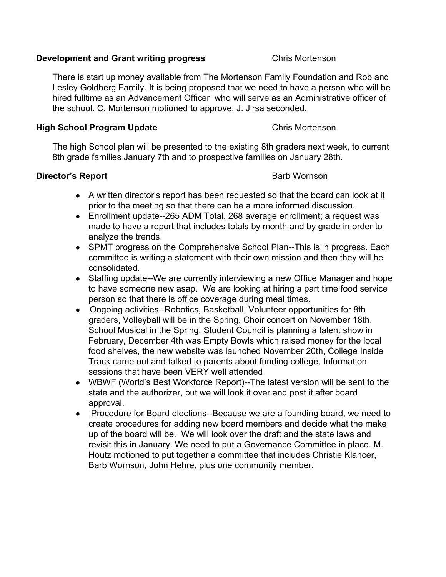### **Development and Grant writing progress** Chris Mortenson

There is start up money available from The Mortenson Family Foundation and Rob and Lesley Goldberg Family. It is being proposed that we need to have a person who will be hired fulltime as an Advancement Officer who will serve as an Administrative officer of the school. C. Mortenson motioned to approve. J. Jirsa seconded.

## **High School Program Update** Chris Mortenson

The high School plan will be presented to the existing 8th graders next week, to current 8th grade families January 7th and to prospective families on January 28th.

# **Director's Report Barb Wornson**

- A written director's report has been requested so that the board can look at it prior to the meeting so that there can be a more informed discussion.
- Enrollment update--265 ADM Total, 268 average enrollment; a request was made to have a report that includes totals by month and by grade in order to analyze the trends.
- SPMT progress on the Comprehensive School Plan--This is in progress. Each committee is writing a statement with their own mission and then they will be consolidated.
- Staffing update--We are currently interviewing a new Office Manager and hope to have someone new asap. We are looking at hiring a part time food service person so that there is office coverage during meal times.
- Ongoing activities--Robotics, Basketball, Volunteer opportunities for 8th graders, Volleyball will be in the Spring, Choir concert on November 18th, School Musical in the Spring, Student Council is planning a talent show in February, December 4th was Empty Bowls which raised money for the local food shelves, the new website was launched November 20th, College Inside Track came out and talked to parents about funding college, Information sessions that have been VERY well attended
- WBWF (World's Best Workforce Report)--The latest version will be sent to the state and the authorizer, but we will look it over and post it after board approval.
- Procedure for Board elections--Because we are a founding board, we need to create procedures for adding new board members and decide what the make up of the board will be. We will look over the draft and the state laws and revisit this in January. We need to put a Governance Committee in place. M. Houtz motioned to put together a committee that includes Christie Klancer, Barb Wornson, John Hehre, plus one community member.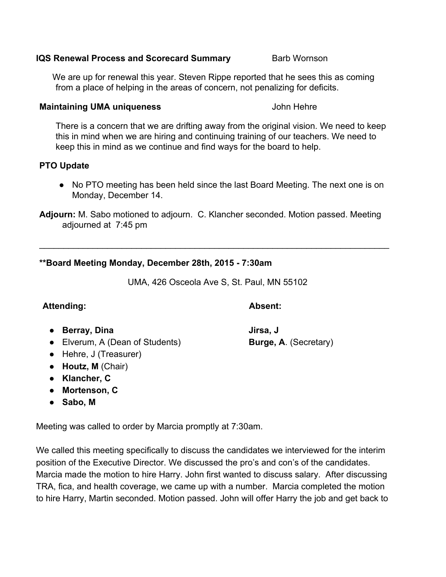### **IQS** Renewal Process and Scorecard Summary Barb Wornson

We are up for renewal this year. Steven Rippe reported that he sees this as coming from a place of helping in the areas of concern, not penalizing for deficits.

### **Maintaining UMA uniqueness** John Hehre

There is a concern that we are drifting away from the original vision. We need to keep this in mind when we are hiring and continuing training of our teachers. We need to keep this in mind as we continue and find ways for the board to help.

## **PTO Update**

● No PTO meeting has been held since the last Board Meeting. The next one is on Monday, December 14.

**Adjourn:**M. Sabo motioned to adjourn. C. Klancher seconded. Motion passed. Meeting adjourned at 7:45 pm

\_\_\_\_\_\_\_\_\_\_\_\_\_\_\_\_\_\_\_\_\_\_\_\_\_\_\_\_\_\_\_\_\_\_\_\_\_\_\_\_\_\_\_\_\_\_\_\_\_\_\_\_\_\_\_\_\_\_\_\_\_\_\_\_\_\_\_\_\_\_\_\_

## **\*\*Board Meeting Monday, December 28th, 2015 7:30am**

UMA, 426 Osceola Ave S, St. Paul, MN 55102

# **Attending: Absent:**

### ● **Berray, Dina Jirsa, J**

- Elverum, A (Dean of Students) **Burge, A**. (Secretary)
- Hehre, J (Treasurer)
- **Houtz, M**(Chair)
- **● Klancher, C**
- **● Mortenson, C**
- **Sabo, M**

Meeting was called to order by Marcia promptly at 7:30am.

We called this meeting specifically to discuss the candidates we interviewed for the interim position of the Executive Director. We discussed the pro's and con's of the candidates. Marcia made the motion to hire Harry. John first wanted to discuss salary. After discussing TRA, fica, and health coverage, we came up with a number. Marcia completed the motion to hire Harry, Martin seconded. Motion passed. John will offer Harry the job and get back to